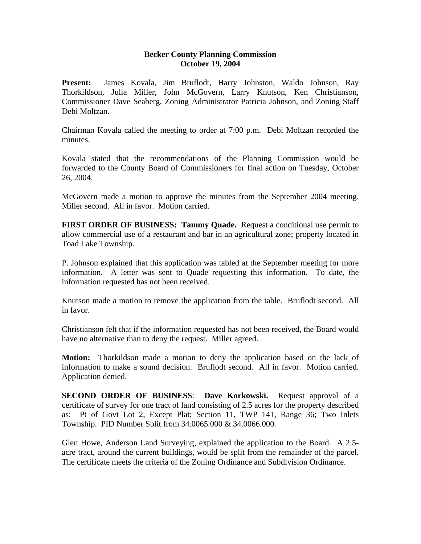## **Becker County Planning Commission October 19, 2004**

**Present:** James Kovala, Jim Bruflodt, Harry Johnston, Waldo Johnson, Ray Thorkildson, Julia Miller, John McGovern, Larry Knutson, Ken Christianson, Commissioner Dave Seaberg, Zoning Administrator Patricia Johnson, and Zoning Staff Debi Moltzan.

Chairman Kovala called the meeting to order at 7:00 p.m. Debi Moltzan recorded the minutes.

Kovala stated that the recommendations of the Planning Commission would be forwarded to the County Board of Commissioners for final action on Tuesday, October 26, 2004.

McGovern made a motion to approve the minutes from the September 2004 meeting. Miller second. All in favor. Motion carried.

**FIRST ORDER OF BUSINESS: Tammy Quade.** Request a conditional use permit to allow commercial use of a restaurant and bar in an agricultural zone; property located in Toad Lake Township.

P. Johnson explained that this application was tabled at the September meeting for more information. A letter was sent to Quade requesting this information. To date, the information requested has not been received.

Knutson made a motion to remove the application from the table. Bruflodt second. All in favor.

Christianson felt that if the information requested has not been received, the Board would have no alternative than to deny the request. Miller agreed.

**Motion:** Thorkildson made a motion to deny the application based on the lack of information to make a sound decision. Bruflodt second. All in favor. Motion carried. Application denied.

**SECOND ORDER OF BUSINESS**: **Dave Korkowski.** Request approval of a certificate of survey for one tract of land consisting of 2.5 acres for the property described as: Pt of Govt Lot 2, Except Plat; Section 11, TWP 141, Range 36; Two Inlets Township. PID Number Split from 34.0065.000 & 34.0066.000.

Glen Howe, Anderson Land Surveying, explained the application to the Board. A 2.5 acre tract, around the current buildings, would be split from the remainder of the parcel. The certificate meets the criteria of the Zoning Ordinance and Subdivision Ordinance.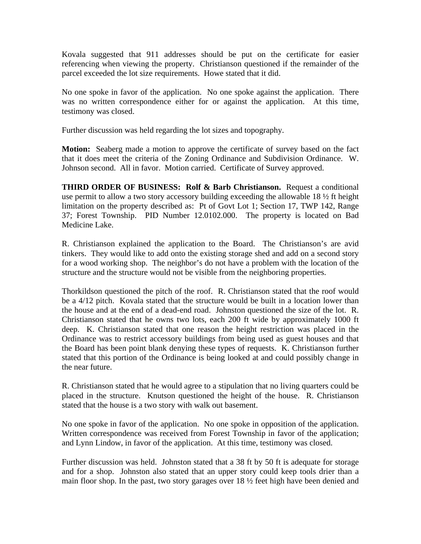Kovala suggested that 911 addresses should be put on the certificate for easier referencing when viewing the property. Christianson questioned if the remainder of the parcel exceeded the lot size requirements. Howe stated that it did.

No one spoke in favor of the application. No one spoke against the application. There was no written correspondence either for or against the application. At this time, testimony was closed.

Further discussion was held regarding the lot sizes and topography.

**Motion:** Seaberg made a motion to approve the certificate of survey based on the fact that it does meet the criteria of the Zoning Ordinance and Subdivision Ordinance. W. Johnson second. All in favor. Motion carried. Certificate of Survey approved.

**THIRD ORDER OF BUSINESS: Rolf & Barb Christianson.** Request a conditional use permit to allow a two story accessory building exceeding the allowable 18 ½ ft height limitation on the property described as: Pt of Govt Lot 1; Section 17, TWP 142, Range 37; Forest Township. PID Number 12.0102.000. The property is located on Bad Medicine Lake.

R. Christianson explained the application to the Board. The Christianson's are avid tinkers. They would like to add onto the existing storage shed and add on a second story for a wood working shop. The neighbor's do not have a problem with the location of the structure and the structure would not be visible from the neighboring properties.

Thorkildson questioned the pitch of the roof. R. Christianson stated that the roof would be a 4/12 pitch. Kovala stated that the structure would be built in a location lower than the house and at the end of a dead-end road. Johnston questioned the size of the lot. R. Christianson stated that he owns two lots, each 200 ft wide by approximately 1000 ft deep. K. Christianson stated that one reason the height restriction was placed in the Ordinance was to restrict accessory buildings from being used as guest houses and that the Board has been point blank denying these types of requests. K. Christianson further stated that this portion of the Ordinance is being looked at and could possibly change in the near future.

R. Christianson stated that he would agree to a stipulation that no living quarters could be placed in the structure. Knutson questioned the height of the house. R. Christianson stated that the house is a two story with walk out basement.

No one spoke in favor of the application. No one spoke in opposition of the application. Written correspondence was received from Forest Township in favor of the application; and Lynn Lindow, in favor of the application. At this time, testimony was closed.

Further discussion was held. Johnston stated that a 38 ft by 50 ft is adequate for storage and for a shop. Johnston also stated that an upper story could keep tools drier than a main floor shop. In the past, two story garages over 18 ½ feet high have been denied and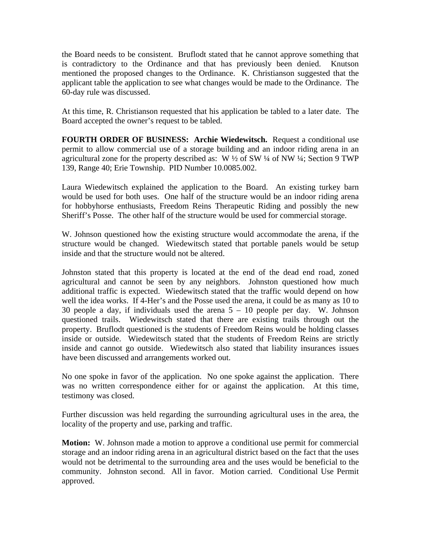the Board needs to be consistent. Bruflodt stated that he cannot approve something that is contradictory to the Ordinance and that has previously been denied. Knutson mentioned the proposed changes to the Ordinance. K. Christianson suggested that the applicant table the application to see what changes would be made to the Ordinance. The 60-day rule was discussed.

At this time, R. Christianson requested that his application be tabled to a later date. The Board accepted the owner's request to be tabled.

**FOURTH ORDER OF BUSINESS: Archie Wiedewitsch.** Request a conditional use permit to allow commercial use of a storage building and an indoor riding arena in an agricultural zone for the property described as: W  $\frac{1}{2}$  of SW  $\frac{1}{4}$  of NW  $\frac{1}{4}$ ; Section 9 TWP 139, Range 40; Erie Township. PID Number 10.0085.002.

Laura Wiedewitsch explained the application to the Board. An existing turkey barn would be used for both uses. One half of the structure would be an indoor riding arena for hobbyhorse enthusiasts, Freedom Reins Therapeutic Riding and possibly the new Sheriff's Posse. The other half of the structure would be used for commercial storage.

W. Johnson questioned how the existing structure would accommodate the arena, if the structure would be changed. Wiedewitsch stated that portable panels would be setup inside and that the structure would not be altered.

Johnston stated that this property is located at the end of the dead end road, zoned agricultural and cannot be seen by any neighbors. Johnston questioned how much additional traffic is expected. Wiedewitsch stated that the traffic would depend on how well the idea works. If 4-Her's and the Posse used the arena, it could be as many as 10 to 30 people a day, if individuals used the arena  $5 - 10$  people per day. W. Johnson questioned trails. Wiedewitsch stated that there are existing trails through out the property. Bruflodt questioned is the students of Freedom Reins would be holding classes inside or outside. Wiedewitsch stated that the students of Freedom Reins are strictly inside and cannot go outside. Wiedewitsch also stated that liability insurances issues have been discussed and arrangements worked out.

No one spoke in favor of the application. No one spoke against the application. There was no written correspondence either for or against the application. At this time, testimony was closed.

Further discussion was held regarding the surrounding agricultural uses in the area, the locality of the property and use, parking and traffic.

**Motion:** W. Johnson made a motion to approve a conditional use permit for commercial storage and an indoor riding arena in an agricultural district based on the fact that the uses would not be detrimental to the surrounding area and the uses would be beneficial to the community. Johnston second. All in favor. Motion carried. Conditional Use Permit approved.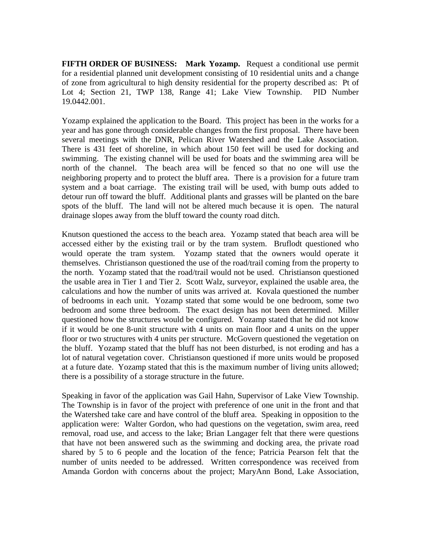**FIFTH ORDER OF BUSINESS: Mark Yozamp.** Request a conditional use permit for a residential planned unit development consisting of 10 residential units and a change of zone from agricultural to high density residential for the property described as: Pt of Lot 4; Section 21, TWP 138, Range 41; Lake View Township. PID Number 19.0442.001.

Yozamp explained the application to the Board. This project has been in the works for a year and has gone through considerable changes from the first proposal. There have been several meetings with the DNR, Pelican River Watershed and the Lake Association. There is 431 feet of shoreline, in which about 150 feet will be used for docking and swimming. The existing channel will be used for boats and the swimming area will be north of the channel. The beach area will be fenced so that no one will use the neighboring property and to protect the bluff area. There is a provision for a future tram system and a boat carriage. The existing trail will be used, with bump outs added to detour run off toward the bluff. Additional plants and grasses will be planted on the bare spots of the bluff. The land will not be altered much because it is open. The natural drainage slopes away from the bluff toward the county road ditch.

Knutson questioned the access to the beach area. Yozamp stated that beach area will be accessed either by the existing trail or by the tram system. Bruflodt questioned who would operate the tram system. Yozamp stated that the owners would operate it themselves. Christianson questioned the use of the road/trail coming from the property to the north. Yozamp stated that the road/trail would not be used. Christianson questioned the usable area in Tier 1 and Tier 2. Scott Walz, surveyor, explained the usable area, the calculations and how the number of units was arrived at. Kovala questioned the number of bedrooms in each unit. Yozamp stated that some would be one bedroom, some two bedroom and some three bedroom. The exact design has not been determined. Miller questioned how the structures would be configured. Yozamp stated that he did not know if it would be one 8-unit structure with 4 units on main floor and 4 units on the upper floor or two structures with 4 units per structure. McGovern questioned the vegetation on the bluff. Yozamp stated that the bluff has not been disturbed, is not eroding and has a lot of natural vegetation cover. Christianson questioned if more units would be proposed at a future date. Yozamp stated that this is the maximum number of living units allowed; there is a possibility of a storage structure in the future.

Speaking in favor of the application was Gail Hahn, Supervisor of Lake View Township. The Township is in favor of the project with preference of one unit in the front and that the Watershed take care and have control of the bluff area. Speaking in opposition to the application were: Walter Gordon, who had questions on the vegetation, swim area, reed removal, road use, and access to the lake; Brian Langager felt that there were questions that have not been answered such as the swimming and docking area, the private road shared by 5 to 6 people and the location of the fence; Patricia Pearson felt that the number of units needed to be addressed. Written correspondence was received from Amanda Gordon with concerns about the project; MaryAnn Bond, Lake Association,